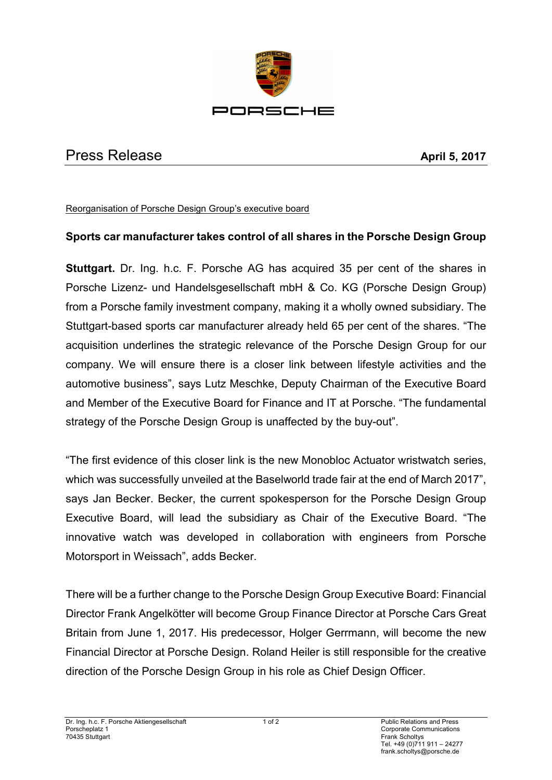

## Press Release **April 5, 2017**

## Reorganisation of Porsche Design Group's executive board

## **Sports car manufacturer takes control of all shares in the Porsche Design Group**

**Stuttgart.** Dr. Ing. h.c. F. Porsche AG has acquired 35 per cent of the shares in Porsche Lizenz- und Handelsgesellschaft mbH & Co. KG (Porsche Design Group) from a Porsche family investment company, making it a wholly owned subsidiary. The Stuttgart-based sports car manufacturer already held 65 per cent of the shares. "The acquisition underlines the strategic relevance of the Porsche Design Group for our company. We will ensure there is a closer link between lifestyle activities and the automotive business", says Lutz Meschke, Deputy Chairman of the Executive Board and Member of the Executive Board for Finance and IT at Porsche. "The fundamental strategy of the Porsche Design Group is unaffected by the buy-out".

"The first evidence of this closer link is the new Monobloc Actuator wristwatch series, which was successfully unveiled at the Baselworld trade fair at the end of March 2017", says Jan Becker. Becker, the current spokesperson for the Porsche Design Group Executive Board, will lead the subsidiary as Chair of the Executive Board. "The innovative watch was developed in collaboration with engineers from Porsche Motorsport in Weissach", adds Becker.

There will be a further change to the Porsche Design Group Executive Board: Financial Director Frank Angelkötter will become Group Finance Director at Porsche Cars Great Britain from June 1, 2017. His predecessor, Holger Gerrmann, will become the new Financial Director at Porsche Design. Roland Heiler is still responsible for the creative direction of the Porsche Design Group in his role as Chief Design Officer.